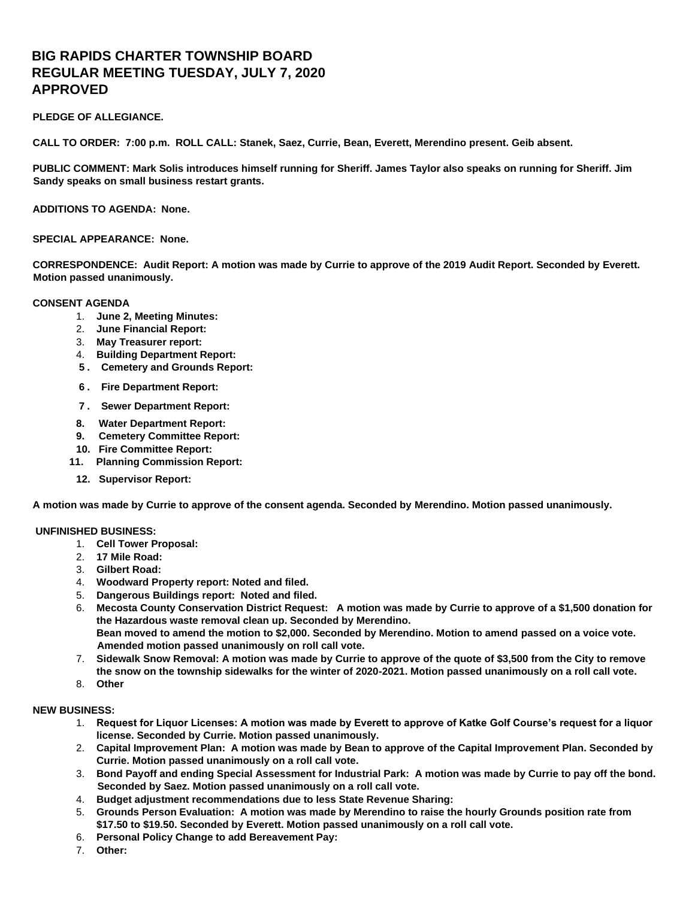# **BIG RAPIDS CHARTER TOWNSHIP BOARD REGULAR MEETING TUESDAY, JULY 7, 2020 APPROVED**

## **PLEDGE OF ALLEGIANCE.**

**CALL TO ORDER: 7:00 p.m. ROLL CALL: Stanek, Saez, Currie, Bean, Everett, Merendino present. Geib absent.** 

**PUBLIC COMMENT: Mark Solis introduces himself running for Sheriff. James Taylor also speaks on running for Sheriff. Jim Sandy speaks on small business restart grants.** 

**ADDITIONS TO AGENDA: None.**

## **SPECIAL APPEARANCE: None.**

**CORRESPONDENCE: Audit Report: A motion was made by Currie to approve of the 2019 Audit Report. Seconded by Everett. Motion passed unanimously.** 

## **CONSENT AGENDA**

- 1. **June 2, Meeting Minutes:**
- 2. **June Financial Report:**
- 3. **May Treasurer report:**
- 4. **Building Department Report:**
- **5 . Cemetery and Grounds Report:**
- **6 . Fire Department Report:**
- **7 . Sewer Department Report:**
- **8. Water Department Report:**
- **9. Cemetery Committee Report:**
- **10. Fire Committee Report:**
- **11. Planning Commission Report:**
- **12. Supervisor Report:**

**A motion was made by Currie to approve of the consent agenda. Seconded by Merendino. Motion passed unanimously.** 

## **UNFINISHED BUSINESS:**

- 1. **Cell Tower Proposal:**
- 2. **17 Mile Road:**
- 3. **Gilbert Road:**
- 4. **Woodward Property report: Noted and filed.**
- 5. **Dangerous Buildings report: Noted and filed.**
- 6. **Mecosta County Conservation District Request: A motion was made by Currie to approve of a \$1,500 donation for the Hazardous waste removal clean up. Seconded by Merendino. Bean moved to amend the motion to \$2,000. Seconded by Merendino. Motion to amend passed on a voice vote. Amended motion passed unanimously on roll call vote.**
- 7. **Sidewalk Snow Removal: A motion was made by Currie to approve of the quote of \$3,500 from the City to remove the snow on the township sidewalks for the winter of 2020-2021. Motion passed unanimously on a roll call vote.**
- 8. **Other**

## **NEW BUSINESS:**

- 1. **Request for Liquor Licenses: A motion was made by Everett to approve of Katke Golf Course's request for a liquor license. Seconded by Currie. Motion passed unanimously.**
- 2. **Capital Improvement Plan: A motion was made by Bean to approve of the Capital Improvement Plan. Seconded by Currie. Motion passed unanimously on a roll call vote.**
- 3. **Bond Payoff and ending Special Assessment for Industrial Park: A motion was made by Currie to pay off the bond. Seconded by Saez. Motion passed unanimously on a roll call vote.**
- 4. **Budget adjustment recommendations due to less State Revenue Sharing:**
- 5. **Grounds Person Evaluation: A motion was made by Merendino to raise the hourly Grounds position rate from \$17.50 to \$19.50. Seconded by Everett. Motion passed unanimously on a roll call vote.**
- 6. **Personal Policy Change to add Bereavement Pay:**
- 7. **Other:**